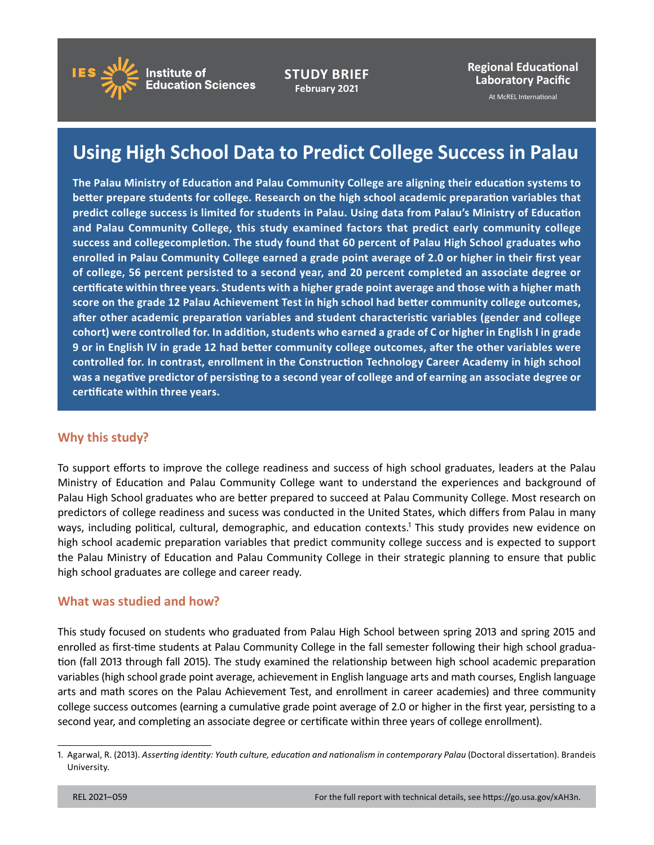

**STUDY BRIEF February 2021**

**Regional Educational Laboratory Pacific**

At McREL International

# **Using High School Data to Predict College Success in Palau**

**The Palau Ministry of Education and Palau Community College are aligning their education systems to better prepare students for college. Research on the high school academic preparation variables that predict college success is limited for students in Palau. Using data from Palau's Ministry of Education and Palau Community College, this study examined factors that predict early community college success and collegecompletion. The study found that 60 percent of Palau High School graduates who enrolled in Palau Community College earned a grade point average of 2.0 or higher in their first year of college, 56 percent persisted to a second year, and 20 percent completed an associate degree or certificate within three years. Students with a higher grade point average and those with a higher math score on the grade 12 Palau Achievement Test in high school had better community college outcomes, after other academic preparation variables and student characteristic variables (gender and college cohort) were controlled for. In addition, students who earned a grade of C or higher in English I in grade 9 or in English IV in grade 12 had better community college outcomes, after the other variables were controlled for. In contrast, enrollment in the Construction Technology Career Academy in high school was a negative predictor of persisting to a second year of college and of earning an associate degree or certificate within three years.**

### **Why this study?**

To support efforts to improve the college readiness and success of high school graduates, leaders at the Palau Ministry of Education and Palau Community College want to understand the experiences and background of Palau High School graduates who are better prepared to succeed at Palau Community College. Most research on predictors of college readiness and sucess was conducted in the United States, which differs from Palau in many ways, including political, cultural, demographic, and education contexts.<sup>1</sup> This study provides new evidence on high school academic preparation variables that predict community college success and is expected to support the Palau Ministry of Education and Palau Community College in their strategic planning to ensure that public high school graduates are college and career ready.

### **What was studied and how?**

This study focused on students who graduated from Palau High School between spring 2013 and spring 2015 and enrolled as first-time students at Palau Community College in the fall semester following their high school graduation (fall 2013 through fall 2015). The study examined the relationship between high school academic preparation variables (high school grade point average, achievement in English language arts and math courses, English language arts and math scores on the Palau Achievement Test, and enrollment in career academies) and three community college success outcomes (earning a cumulative grade point average of 2.0 or higher in the first year, persisting to a second year, and completing an associate degree or certificate within three years of college enrollment).

<sup>1.</sup> Agarwal, R. (2013). *Asserting identity: Youth culture, education and nationalism in contemporary Palau* (Doctoral dissertation). Brandeis University.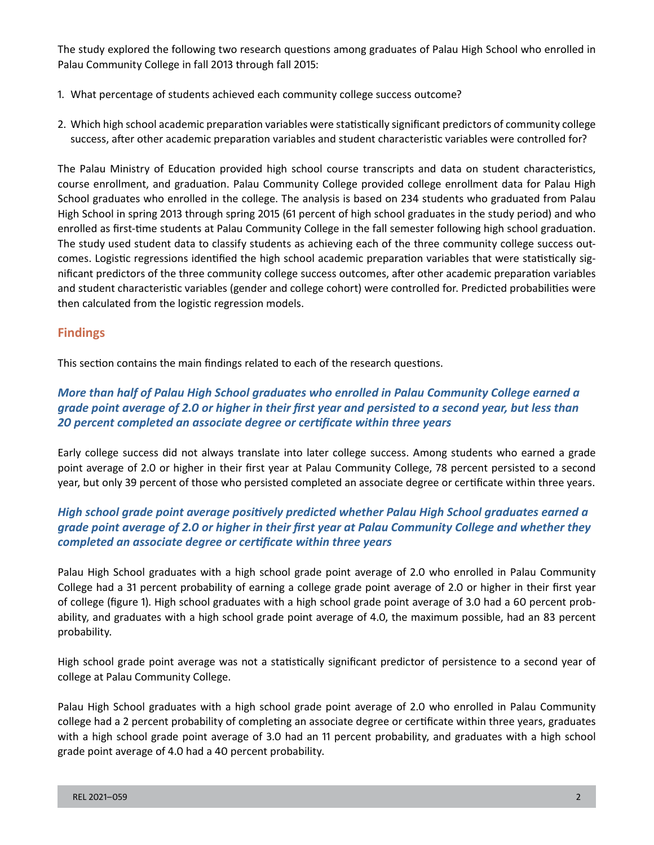The study explored the following two research questions among graduates of Palau High School who enrolled in Palau Community College in fall 2013 through fall 2015:

- 1. What percentage of students achieved each community college success outcome?
- 2. Which high school academic preparation variables were statistically significant predictors of community college success, after other academic preparation variables and student characteristic variables were controlled for?

The Palau Ministry of Education provided high school course transcripts and data on student characteristics, course enrollment, and graduation. Palau Community College provided college enrollment data for Palau High School graduates who enrolled in the college. The analysis is based on 234 students who graduated from Palau High School in spring 2013 through spring 2015 (61 percent of high school graduates in the study period) and who enrolled as first-time students at Palau Community College in the fall semester following high school graduation. The study used student data to classify students as achieving each of the three community college success outcomes. Logistic regressions identified the high school academic preparation variables that were statistically significant predictors of the three community college success outcomes, after other academic preparation variables and student characteristic variables (gender and college cohort) were controlled for. Predicted probabilities were then calculated from the logistic regression models.

# **Findings**

This section contains the main findings related to each of the research questions.

## *More than half of Palau High School graduates who enrolled in Palau Community College earned a grade point average of 2.0 or higher in their first year and persisted to a second year, but less than 20 percent completed an associate degree or certificate within three years*

Early college success did not always translate into later college success. Among students who earned a grade point average of 2.0 or higher in their first year at Palau Community College, 78 percent persisted to a second year, but only 39 percent of those who persisted completed an associate degree or certificate within three years.

## *High school grade point average positively predicted whether Palau High School graduates earned a grade point average of 2.0 or higher in their first year at Palau Community College and whether they completed an associate degree or certificate within three years*

Palau High School graduates with a high school grade point average of 2.0 who enrolled in Palau Community College had a 31 percent probability of earning a college grade point average of 2.0 or higher in their first year of college (figure 1). High school graduates with a high school grade point average of 3.0 had a 60 percent probability, and graduates with a high school grade point average of 4.0, the maximum possible, had an 83 percent probability.

High school grade point average was not a statistically significant predictor of persistence to a second year of college at Palau Community College.

Palau High School graduates with a high school grade point average of 2.0 who enrolled in Palau Community college had a 2 percent probability of completing an associate degree or certificate within three years, graduates with a high school grade point average of 3.0 had an 11 percent probability, and graduates with a high school grade point average of 4.0 had a 40 percent probability.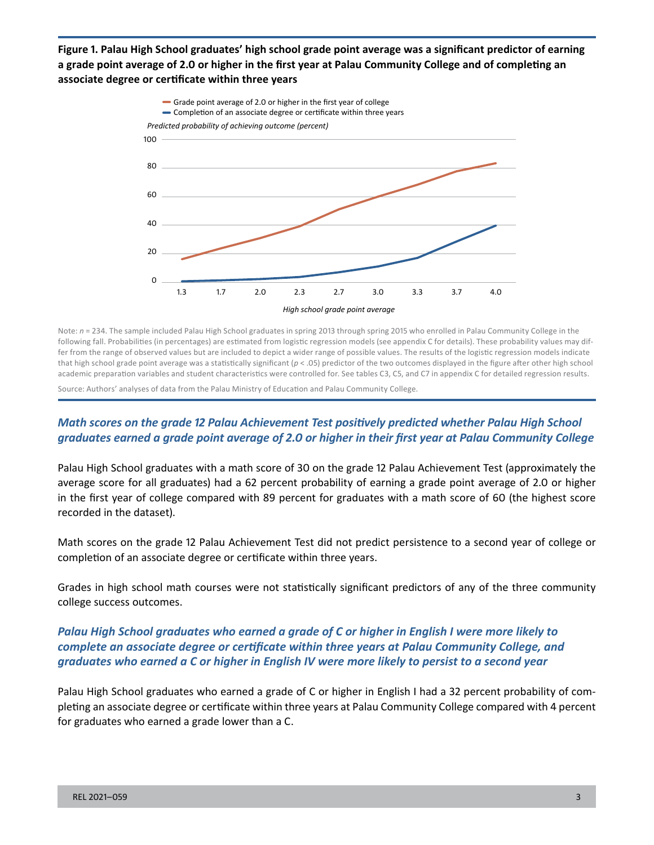**Figure 1. Palau High School graduates' high school grade point average was a significant predictor of earning a grade point average of 2.0 or higher in the first year at Palau Community College and of completing an associate degree or certificate within three years**



Note: *n* = 234. The sample included Palau High School graduates in spring 2013 through spring 2015 who enrolled in Palau Community College in the following fall. Probabilities (in percentages) are estimated from logistic regression models (see appendix C for details). These probability values may differ from the range of observed values but are included to depict a wider range of possible values. The results of the logistic regression models indicate that high school grade point average was a statistically significant (*p* < .05) predictor of the two outcomes displayed in the figure after other high school academic preparation variables and student characteristics were controlled for. See tables C3, C5, and C7 in appendix C for detailed regression results.

Source: Authors' analyses of data from the Palau Ministry of Education and Palau Community College.

## *Math scores on the grade 12 Palau Achievement Test positively predicted whether Palau High School graduates earned a grade point average of 2.0 or higher in their first year at Palau Community College*

Palau High School graduates with a math score of 30 on the grade 12 Palau Achievement Test (approximately the average score for all graduates) had a 62 percent probability of earning a grade point average of 2.0 or higher in the first year of college compared with 89 percent for graduates with a math score of 60 (the highest score recorded in the dataset).

Math scores on the grade 12 Palau Achievement Test did not predict persistence to a second year of college or completion of an associate degree or certificate within three years.

Grades in high school math courses were not statistically significant predictors of any of the three community college success outcomes.

### *Palau High School graduates who earned a grade of C or higher in English I were more likely to complete an associate degree or certificate within three years at Palau Community College, and graduates who earned a C or higher in English IV were more likely to persist to a second year*

Palau High School graduates who earned a grade of C or higher in English I had a 32 percent probability of completing an associate degree or certificate within three years at Palau Community College compared with 4 percent for graduates who earned a grade lower than a C.